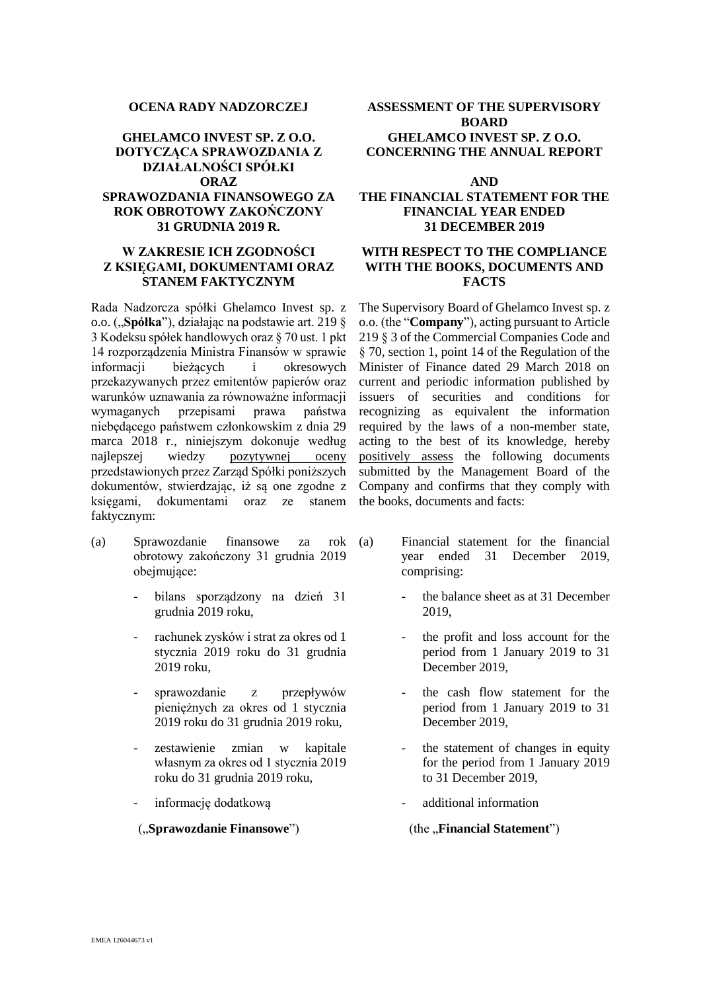# **DOTYCZĄCA SPRAWOZDANIA Z DZIAŁALNOŚCI SPÓŁKI ORAZ AND SPRAWOZDANIA FINANSOWEGO ZA ROK OBROTOWY ZAKOŃCZONY 31 GRUDNIA 2019 R.**

## **W ZAKRESIE ICH ZGODNOŚCI Z KSIĘGAMI, DOKUMENTAMI ORAZ STANEM FAKTYCZNYM**

Rada Nadzorcza spółki Ghelamco Invest sp. z o.o. ("**Spółka**"), działając na podstawie art. 219 § 3 Kodeksu spółek handlowych oraz § 70 ust. 1 pkt 14 rozporządzenia Ministra Finansów w sprawie informacji bieżących i okresowych przekazywanych przez emitentów papierów oraz warunków uznawania za równoważne informacji wymaganych przepisami prawa państwa niebędącego państwem członkowskim z dnia 29 marca 2018 r., niniejszym dokonuje według najlepszej wiedzy pozytywnej oceny przedstawionych przez Zarząd Spółki poniższych dokumentów, stwierdzając, iż są one zgodne z księgami, dokumentami oraz ze stanem faktycznym:

- (a) Sprawozdanie finansowe za rok obrotowy zakończony 31 grudnia 2019 obejmujące:
	- bilans sporządzony na dzień 31 grudnia 2019 roku,
	- rachunek zysków i strat za okres od 1 stycznia 2019 roku do 31 grudnia 2019 roku,
	- sprawozdanie z przepływów pieniężnych za okres od 1 stycznia 2019 roku do 31 grudnia 2019 roku,
	- zestawienie zmian w kapitale własnym za okres od 1 stycznia 2019 roku do 31 grudnia 2019 roku,
	-

### ("**Sprawozdanie Finansowe")** (the "**Financial Statement"**)

### **OCENA RADY NADZORCZEJ ASSESSMENT OF THE SUPERVISORY BOARD GHELAMCO INVEST SP. Z O.O. GHELAMCO INVEST SP. Z O.O. CONCERNING THE ANNUAL REPORT**

## **THE FINANCIAL STATEMENT FOR THE FINANCIAL YEAR ENDED 31 DECEMBER 2019**

## **WITH RESPECT TO THE COMPLIANCE WITH THE BOOKS, DOCUMENTS AND FACTS**

The Supervisory Board of Ghelamco Invest sp. z o.o. (the "**Company**"), acting pursuant to Article 219 § 3 of the Commercial Companies Code and § 70, section 1, point 14 of the Regulation of the Minister of Finance dated 29 March 2018 on current and periodic information published by issuers of securities and conditions for recognizing as equivalent the information required by the laws of a non-member state, acting to the best of its knowledge, hereby positively assess the following documents submitted by the Management Board of the Company and confirms that they comply with the books, documents and facts:

- Financial statement for the financial year ended 31 December 2019, comprising:
	- the balance sheet as at 31 December 2019,
	- the profit and loss account for the period from 1 January 2019 to 31 December 2019,
	- the cash flow statement for the period from 1 January 2019 to 31 December 2019,
	- the statement of changes in equity for the period from 1 January 2019 to 31 December 2019,
- informację dodatkową entropych information and additional information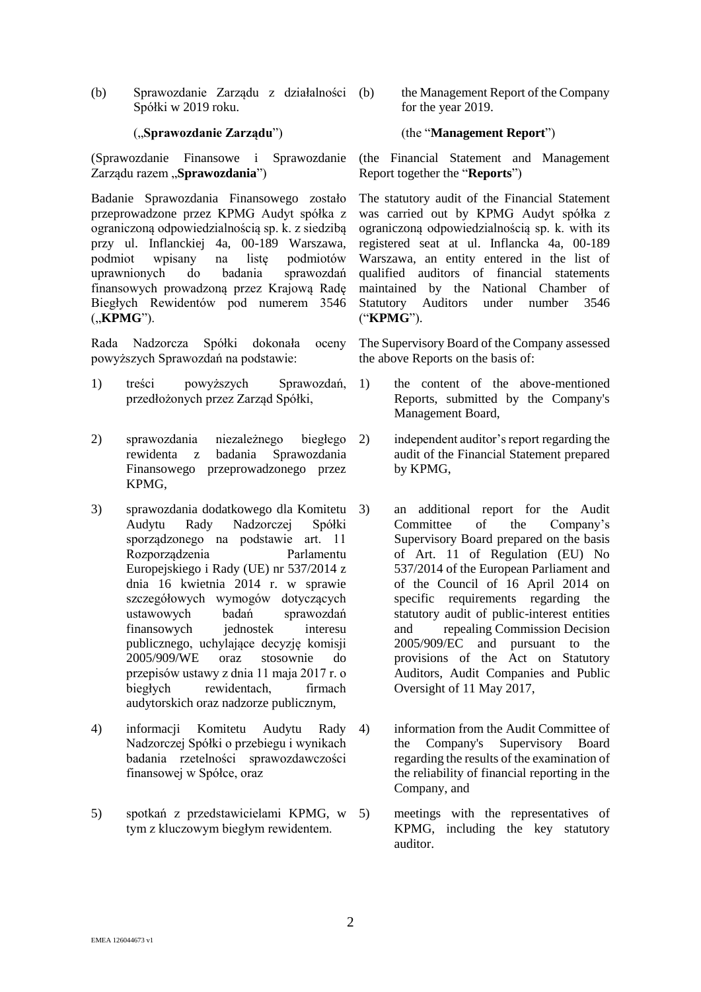(b) Sprawozdanie Zarządu z działalności Spółki w 2019 roku.

(Sprawozdanie Finansowe i Sprawozdanie Zarządu razem "Sprawozdania")

Badanie Sprawozdania Finansowego zostało przeprowadzone przez KPMG Audyt spółka z ograniczoną odpowiedzialnością sp. k. z siedzibą przy ul. Inflanckiej 4a, 00-189 Warszawa, podmiot wpisany na listę podmiotów uprawnionych do badania sprawozdań finansowych prowadzoną przez Krajową Radę Biegłych Rewidentów pod numerem 3546 ("**KPMG**").

Rada Nadzorcza Spółki dokonała oceny powyższych Sprawozdań na podstawie:

- 1) treści powyższych Sprawozdań, przedłożonych przez Zarząd Spółki,
- 2) sprawozdania niezależnego biegłego rewidenta z badania Sprawozdania Finansowego przeprowadzonego przez KPMG,
- 3) sprawozdania dodatkowego dla Komitetu Audytu Rady Nadzorczej Spółki sporządzonego na podstawie art. 11 Rozporządzenia Parlamentu Europejskiego i Rady (UE) nr 537/2014 z dnia 16 kwietnia 2014 r. w sprawie szczegółowych wymogów dotyczących ustawowych badań sprawozdań finansowych jednostek interesu publicznego, uchylające decyzję komisji 2005/909/WE oraz stosownie do przepisów ustawy z dnia 11 maja 2017 r. o biegłych rewidentach, firmach audytorskich oraz nadzorze publicznym,
- 4) informacji Komitetu Audytu Rady Nadzorczej Spółki o przebiegu i wynikach badania rzetelności sprawozdawczości finansowej w Spółce, oraz
- 5) spotkań z przedstawicielami KPMG, w tym z kluczowym biegłym rewidentem.

the Management Report of the Company for the year 2019.

### ("**Sprawozdanie Zarządu**") (the "**Management Report**")

(the Financial Statement and Management Report together the "**Reports**")

The statutory audit of the Financial Statement was carried out by KPMG Audyt spółka z ograniczoną odpowiedzialnością sp. k. with its registered seat at ul. Inflancka 4a, 00-189 Warszawa, an entity entered in the list of qualified auditors of financial statements maintained by the National Chamber of Statutory Auditors under number 3546 ("**KPMG**").

The Supervisory Board of the Company assessed the above Reports on the basis of:

- 1) the content of the above-mentioned Reports, submitted by the Company's Management Board,
- 2) independent auditor's report regarding the audit of the Financial Statement prepared by KPMG,
	- 3) an additional report for the Audit Committee of the Company's Supervisory Board prepared on the basis of Art. 11 of Regulation (EU) No 537/2014 of the European Parliament and of the Council of 16 April 2014 on specific requirements regarding the statutory audit of public-interest entities and repealing Commission Decision 2005/909/EC and pursuant to the provisions of the Act on Statutory Auditors, Audit Companies and Public Oversight of 11 May 2017,
	- information from the Audit Committee of the Company's Supervisory Board regarding the results of the examination of the reliability of financial reporting in the Company, and
	- 5) meetings with the representatives of KPMG, including the key statutory auditor.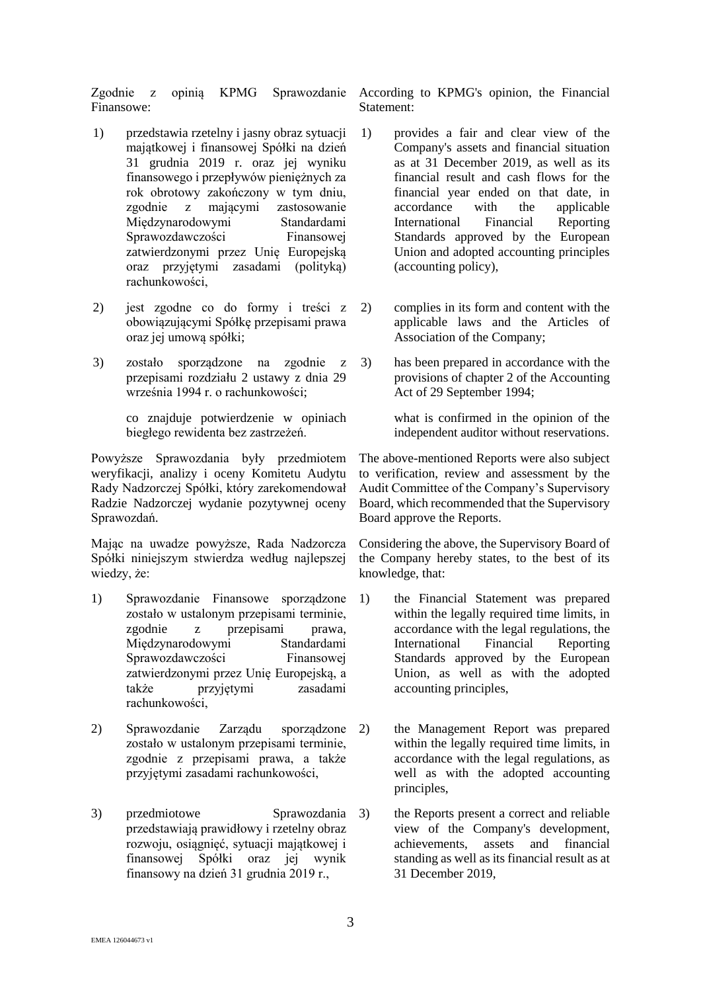Zgodnie z opinią KPMG Finansowe:

- 1) przedstawia rzetelny i jasny obraz sytuacji majątkowej i finansowej Spółki na dzień 31 grudnia 2019 r. oraz jej wyniku finansowego i przepływów pieniężnych za rok obrotowy zakończony w tym dniu, zgodnie z mającymi zastosowanie Międzynarodowymi Standardami Sprawozdawczości Finansowej zatwierdzonymi przez Unię Europejską oraz przyjętymi zasadami (polityką) rachunkowości,
- 2) jest zgodne co do formy i treści z obowiązującymi Spółkę przepisami prawa oraz jej umową spółki;
- 3) zostało sporządzone na zgodnie z przepisami rozdziału 2 ustawy z dnia 29 września 1994 r. o rachunkowości;

co znajduje potwierdzenie w opiniach biegłego rewidenta bez zastrzeżeń.

Powyższe Sprawozdania były przedmiotem weryfikacji, analizy i oceny Komitetu Audytu Rady Nadzorczej Spółki, który zarekomendował Radzie Nadzorczej wydanie pozytywnej oceny Sprawozdań.

Mając na uwadze powyższe, Rada Nadzorcza Spółki niniejszym stwierdza według najlepszej wiedzy, że:

- 1) Sprawozdanie Finansowe sporządzone zostało w ustalonym przepisami terminie, zgodnie z przepisami prawa, Międzynarodowymi Standardami Sprawozdawczości Finansowej zatwierdzonymi przez Unię Europejską, a także przyjętymi zasadami rachunkowości,
- 2) Sprawozdanie Zarządu sporządzone zostało w ustalonym przepisami terminie, zgodnie z przepisami prawa, a także przyjętymi zasadami rachunkowości,
- 3) przedmiotowe Sprawozdania przedstawiają prawidłowy i rzetelny obraz rozwoju, osiągnięć, sytuacji majątkowej i finansowej Spółki oraz jej wynik finansowy na dzień 31 grudnia 2019 r.,

Sprawozdanie According to KPMG's opinion, the Financial Statement:

- 1) provides a fair and clear view of the Company's assets and financial situation as at 31 December 2019, as well as its financial result and cash flows for the financial year ended on that date, in accordance with the applicable International Financial Reporting Standards approved by the European Union and adopted accounting principles (accounting policy),
- 2) complies in its form and content with the applicable laws and the Articles of Association of the Company;
- 3) has been prepared in accordance with the provisions of chapter 2 of the Accounting Act of 29 September 1994;

what is confirmed in the opinion of the independent auditor without reservations.

The above-mentioned Reports were also subject to verification, review and assessment by the Audit Committee of the Company's Supervisory Board, which recommended that the Supervisory Board approve the Reports.

Considering the above, the Supervisory Board of the Company hereby states, to the best of its knowledge, that:

- the Financial Statement was prepared within the legally required time limits, in accordance with the legal regulations, the International Financial Reporting Standards approved by the European Union, as well as with the adopted accounting principles,
- 2) the Management Report was prepared within the legally required time limits, in accordance with the legal regulations, as well as with the adopted accounting principles,
- the Reports present a correct and reliable view of the Company's development, achievements, assets and financial standing as well as its financial result as at 31 December 2019,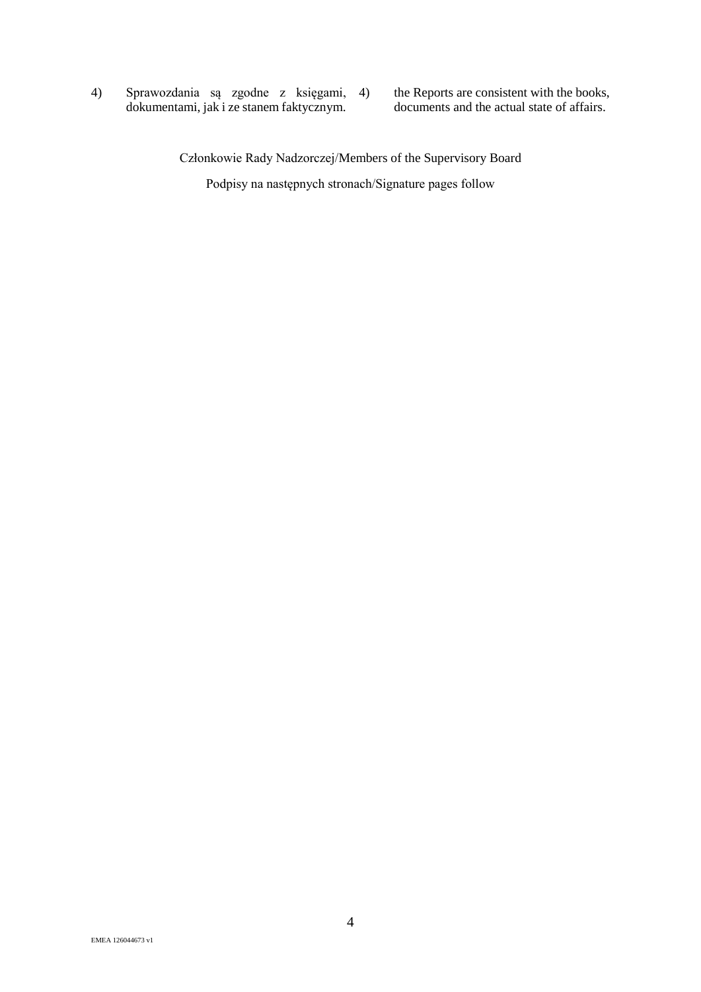4) Sprawozdania są zgodne z księgami, dokumentami, jak i ze stanem faktycznym.

the Reports are consistent with the books, documents and the actual state of affairs.

Członkowie Rady Nadzorczej/Members of the Supervisory Board

Podpisy na następnych stronach/Signature pages follow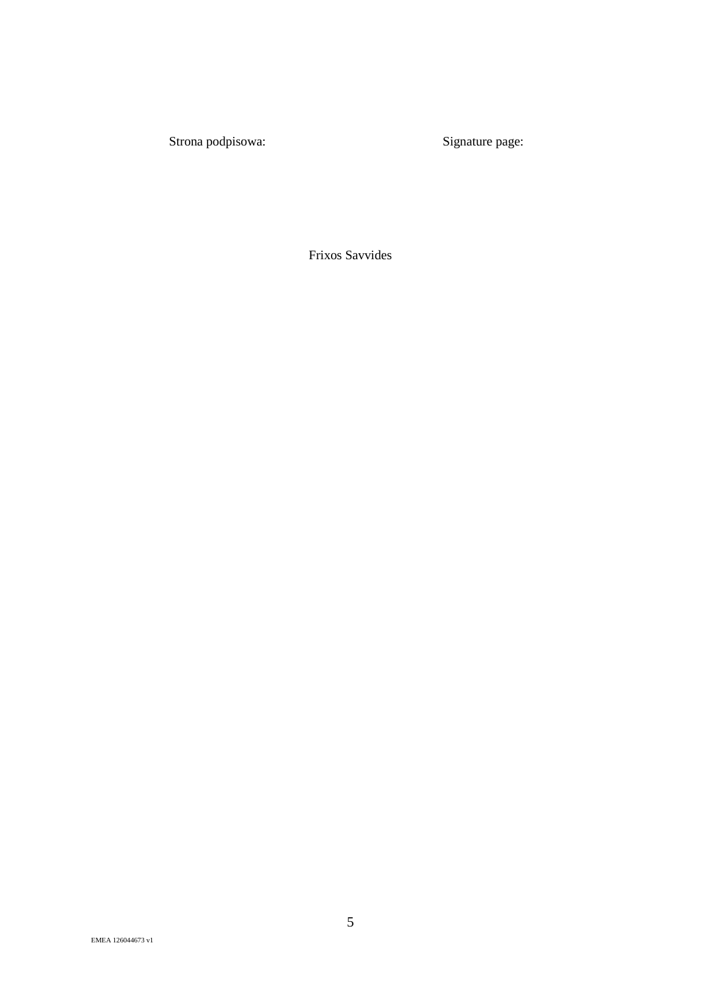Frixos Savvides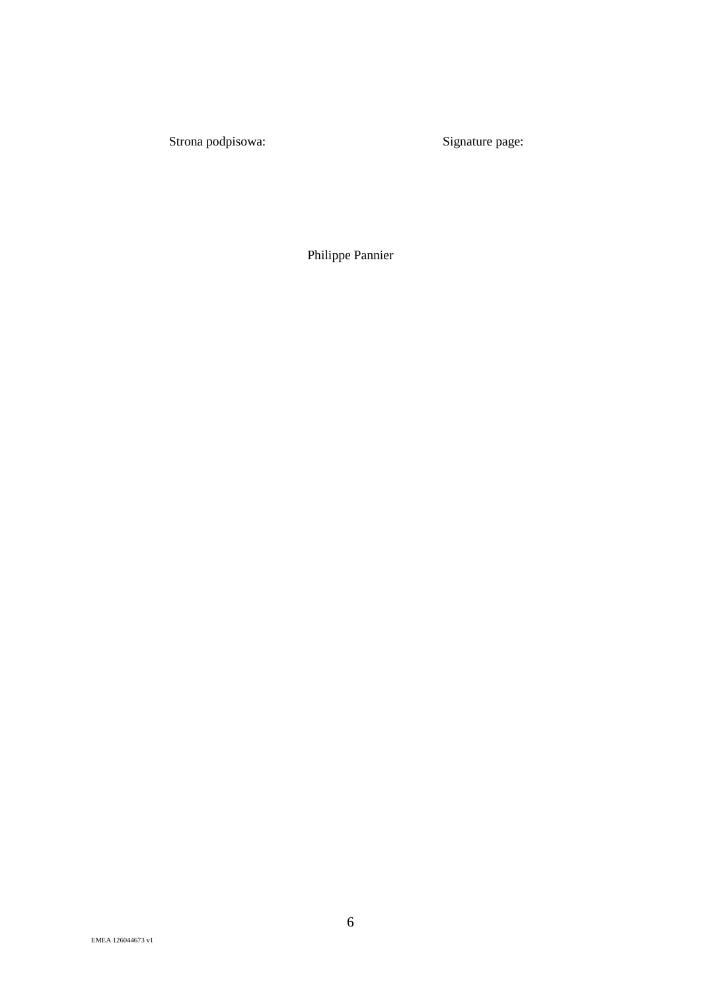Philippe Pannier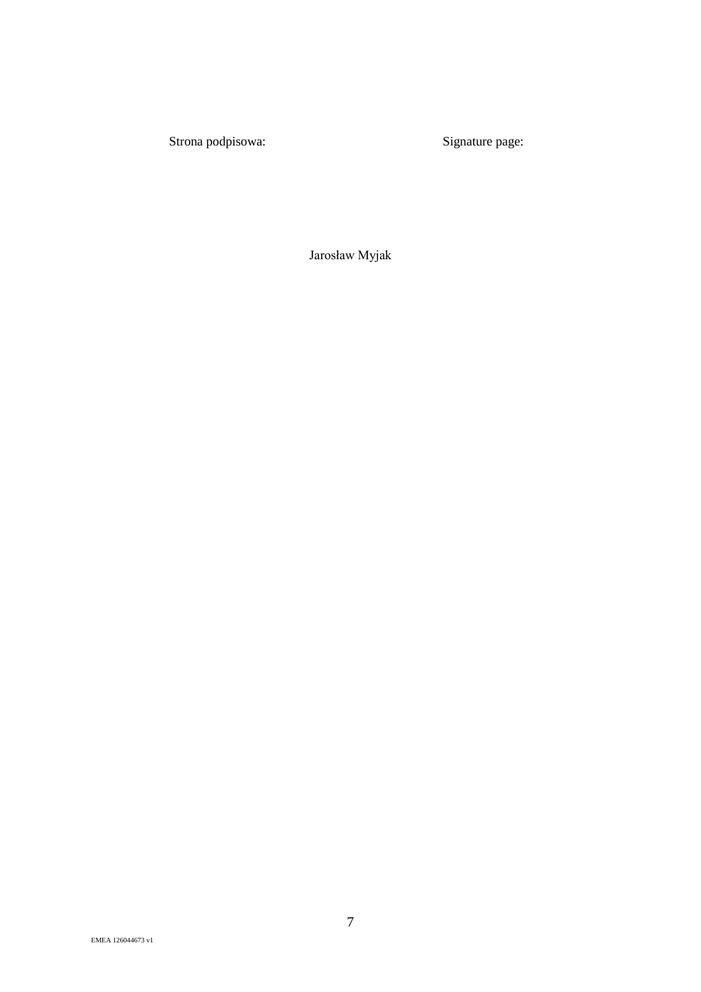Jarosław Myjak